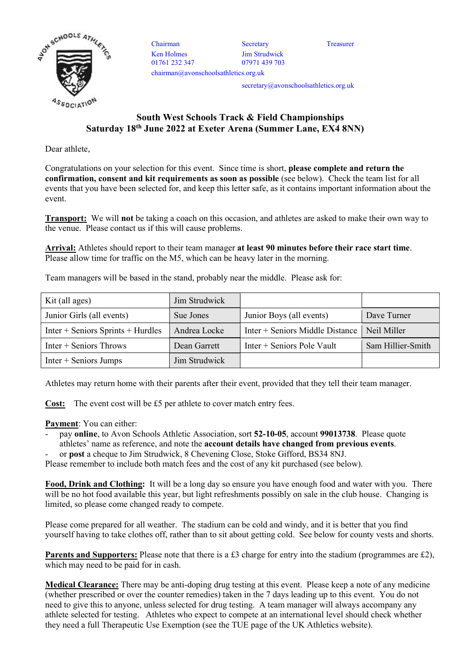

Chairman Secretary Treasurer Ken Holmes 01761 232 347 chairman@avonschoolsathletics.org.uk

Jim Strudwick 07971 439 703

secretary@avonschoolsathletics.org.uk

## South West Schools Track & Field Championships Saturday 18th June 2022 at Exeter Arena (Summer Lane, EX4 8NN)

Dear athlete,

Congratulations on your selection for this event. Since time is short, please complete and return the confirmation, consent and kit requirements as soon as possible (see below). Check the team list for all events that you have been selected for, and keep this letter safe, as it contains important information about the event.

Transport: We will not be taking a coach on this occasion, and athletes are asked to make their own way to the venue. Please contact us if this will cause problems.

Arrival: Athletes should report to their team manager at least 90 minutes before their race start time. Please allow time for traffic on the M5, which can be heavy later in the morning.

Team managers will be based in the stand, probably near the middle. Please ask for:

| Kit (all ages)                      | Jim Strudwick |                                 |                   |
|-------------------------------------|---------------|---------------------------------|-------------------|
| Junior Girls (all events)           | Sue Jones     | Junior Boys (all events)        | Dave Turner       |
| $Inter + Seniors$ Sprints + Hurdles | Andrea Locke  | Inter + Seniors Middle Distance | Neil Miller       |
| $Inter + Seniors$ Throws            | Dean Garrett  | $Inter + Seniors$ Pole Vault    | Sam Hillier-Smith |
| $Inter + Seniors$ Jumps             | Jim Strudwick |                                 |                   |

Athletes may return home with their parents after their event, provided that they tell their team manager.

Cost: The event cost will be £5 per athlete to cover match entry fees.

Payment: You can either:

- pay online, to Avon Schools Athletic Association, sort 52-10-05, account 99013738. Please quote athletes' name as reference, and note the account details have changed from previous events.
- or post a cheque to Jim Strudwick, 8 Chevening Close, Stoke Gifford, BS34 8NJ.

Please remember to include both match fees and the cost of any kit purchased (see below).

Food, Drink and Clothing: It will be a long day so ensure you have enough food and water with you. There will be no hot food available this year, but light refreshments possibly on sale in the club house. Changing is limited, so please come changed ready to compete.

Please come prepared for all weather. The stadium can be cold and windy, and it is better that you find yourself having to take clothes off, rather than to sit about getting cold. See below for county vests and shorts.

**Parents and Supporters:** Please note that there is a £3 charge for entry into the stadium (programmes are £2), which may need to be paid for in cash.

Medical Clearance: There may be anti-doping drug testing at this event. Please keep a note of any medicine (whether prescribed or over the counter remedies) taken in the 7 days leading up to this event. You do not need to give this to anyone, unless selected for drug testing. A team manager will always accompany any athlete selected for testing. Athletes who expect to compete at an international level should check whether they need a full Therapeutic Use Exemption (see the TUE page of the UK Athletics website).